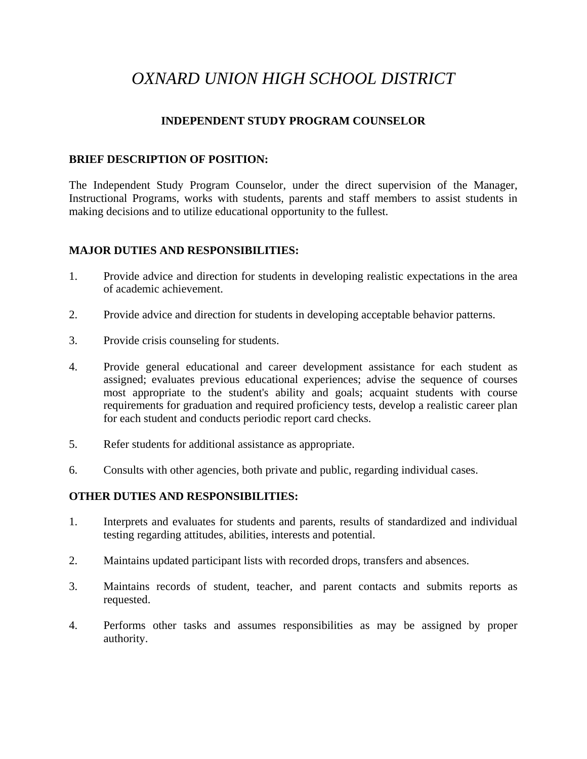# *OXNARD UNION HIGH SCHOOL DISTRICT*

## **INDEPENDENT STUDY PROGRAM COUNSELOR**

#### **BRIEF DESCRIPTION OF POSITION:**

The Independent Study Program Counselor, under the direct supervision of the Manager, Instructional Programs, works with students, parents and staff members to assist students in making decisions and to utilize educational opportunity to the fullest.

### **MAJOR DUTIES AND RESPONSIBILITIES:**

- 1. Provide advice and direction for students in developing realistic expectations in the area of academic achievement.
- 2. Provide advice and direction for students in developing acceptable behavior patterns.
- 3. Provide crisis counseling for students.
- 4. Provide general educational and career development assistance for each student as assigned; evaluates previous educational experiences; advise the sequence of courses most appropriate to the student's ability and goals; acquaint students with course requirements for graduation and required proficiency tests, develop a realistic career plan for each student and conducts periodic report card checks.
- 5. Refer students for additional assistance as appropriate.
- 6. Consults with other agencies, both private and public, regarding individual cases.

#### **OTHER DUTIES AND RESPONSIBILITIES:**

- 1. Interprets and evaluates for students and parents, results of standardized and individual testing regarding attitudes, abilities, interests and potential.
- 2. Maintains updated participant lists with recorded drops, transfers and absences.
- 3. Maintains records of student, teacher, and parent contacts and submits reports as requested.
- 4. Performs other tasks and assumes responsibilities as may be assigned by proper authority.